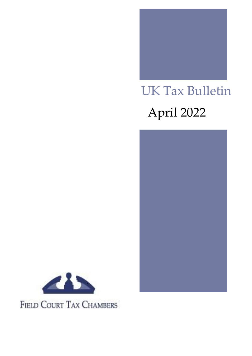





FIELD COURT TAX CHAMBERS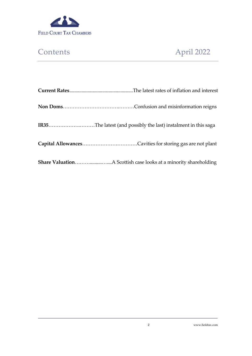

| IR35The latest (and possibly the last) instalment in this saga |
|----------------------------------------------------------------|
|                                                                |
|                                                                |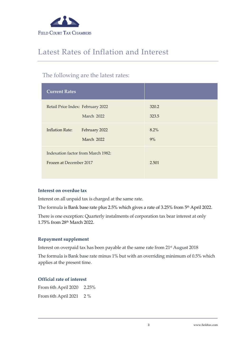

# Latest Rates of Inflation and Interest

### The following are the latest rates:

| <b>Current Rates</b>                                          |                |
|---------------------------------------------------------------|----------------|
| Retail Price Index: February 2022<br>March 2022               | 320.2<br>323.5 |
| <b>Inflation Rate:</b><br>February 2022<br>March 2022         | 8.2%<br>9%     |
| Indexation factor from March 1982:<br>Frozen at December 2017 | 2.501          |

#### **Interest on overdue tax**

Interest on all unpaid tax is charged at the same rate.

The formula is Bank base rate plus 2.5% which gives a rate of 3.25% from 5<sup>th</sup> April 2022.

There is one exception: Quarterly instalments of corporation tax bear interest at only 1.75% from 28th March 2022.

### **Repayment supplement**

Interest on overpaid tax has been payable at the same rate from 21<sup>st</sup> August 2018

The formula is Bank base rate minus 1% but with an overriding minimum of 0.5% which applies at the present time.

### **Official rate of interest**

From 6th April 2020 2.25% From 6th April 2021 2 %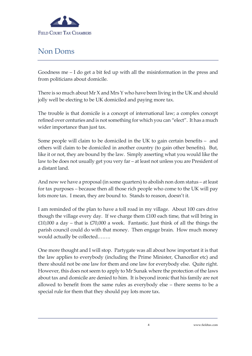

### Non Doms

Goodness me – I do get a bit fed up with all the misinformation in the press and from politicians about domicile.

There is so much about Mr X and Mrs Y who have been living in the UK and should jolly well be electing to be UK domiciled and paying more tax.

The trouble is that domicile is a concept of international law; a complex concept refined over centuries and is not something for which you can "elect". It has a much wider importance than just tax.

Some people will claim to be domiciled in the UK to gain certain benefits – and others will claim to be domiciled in another country (to gain other benefits). But, like it or not, they are bound by the law. Simply asserting what you would like the law to be does not usually get you very far – at least not unless you are President of a distant land.

And now we have a proposal (in some quarters) to abolish non dom status – at least for tax purposes – because then all those rich people who come to the UK will pay lots more tax. I mean, they are bound to. Stands to reason, doesn't it.

I am reminded of the plan to have a toll road in my village. About 100 cars drive though the village every day. If we charge them £100 each time, that will bring in  $£10,000$  a day – that is  $£70,000$  a week. Fantastic. Just think of all the things the parish council could do with that money. Then engage brain. How much money would actually be collected.…….

One more thought and I will stop. Partygate was all about how important it is that the law applies to everybody (including the Prime Minister, Chancellor etc) and there should not be one law for them and one law for everybody else. Quite right. However, this does not seem to apply to Mr Sunak where the protection of the laws about tax and domicile are denied to him. It is beyond ironic that his family are not allowed to benefit from the same rules as everybody else – there seems to be a special rule for them that they should pay lots more tax.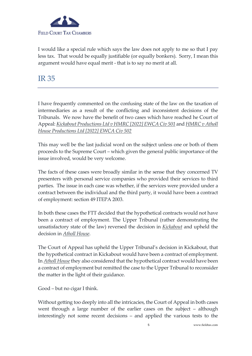

I would like a special rule which says the law does not apply to me so that I pay less tax. That would be equally justifiable (or equally bonkers). Sorry, I mean this argument would have equal merit - that is to say no merit at all.

### IR 35

I have frequently commented on the confusing state of the law on the taxation of intermediaries as a result of the conflicting and inconsistent decisions of the Tribunals. We now have the benefit of two cases which have reached he Court of Appeal: *Kickabout Productions Ltd v HMRC [2022] EWCA Civ 501* and *HMRC v Atholl House Productions Ltd [2022] EWCA Civ 502*

This may well be the last judicial word on the subject unless one or both of them proceeds to the Supreme Court – which given the general public importance of the issue involved, would be very welcome.

The facts of these cases were broadly similar in the sense that they concerned TV presenters with personal service companies who provided their services to third parties. The issue in each case was whether, if the services were provided under a contract between the individual and the third party, it would have been a contract of employment: section 49 ITEPA 2003.

In both these cases the FTT decided that the hypothetical contracts would not have been a contract of employment. The Upper Tribunal (rather demonstrating the unsatisfactory state of the law) reversed the decision in *Kickabout* and upheld the decision in *Atholl House*.

The Court of Appeal has upheld the Upper Tribunal's decision in Kickabout, that the hypothetical contract in Kickabout would have been a contract of employment. In *Atholl House* they also considered that the hypothetical contract would have been a contract of employment but remitted the case to the Upper Tribunal to reconsider the matter in the light of their guidance.

Good – but no cigar I think.

Without getting too deeply into all the intricacies, the Court of Appeal in both cases went through a large number of the earlier cases on the subject – although interestingly not some recent decisions – and applied the various tests to the

5 www.fieldtax.com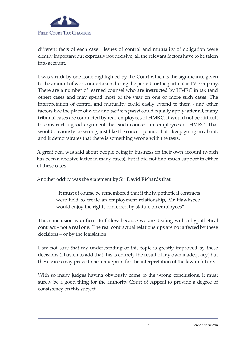

different facts of each case. Issues of control and mutuality of obligation were clearly important but expressly not decisive; all the relevant factors have to be taken into account.

I was struck by one issue highlighted by the Court which is the significance given to the amount of work undertaken during the period for the particular TV company. There are a number of learned counsel who are instructed by HMRC in tax (and other) cases and may spend most of the year on one or more such cases. The interpretation of control and mutuality could easily extend to them - and other factors like the place of work and *part and parcel* could equally apply; after all, many tribunal cases are conducted by real employees of HMRC. It would not be difficult to construct a good argument that such counsel are employees of HMRC. That would obviously be wrong, just like the concert pianist that I keep going on about, and it demonstrates that there is something wrong with the tests.

A great deal was said about people being in business on their own account (which has been a decisive factor in many cases), but it did not find much support in either of these cases.

Another oddity was the statement by Sir David Richards that:

"It must of course be remembered that if the hypothetical contracts were held to create an employment relationship, Mr Hawksbee would enjoy the rights conferred by statute on employees"

This conclusion is difficult to follow because we are dealing with a hypothetical contract – not a real one. The real contractual relationships are not affected by these decisions – or by the legislation.

I am not sure that my understanding of this topic is greatly improved by these decisions (I hasten to add that this is entirely the result of my own inadequacy) but these cases may prove to be a blueprint for the interpretation of the law in future.

With so many judges having obviously come to the wrong conclusions, it must surely be a good thing for the authority Court of Appeal to provide a degree of consistency on this subject.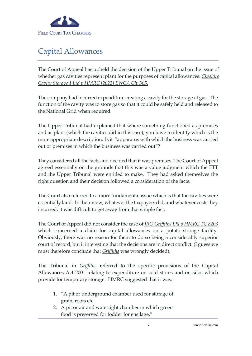

# Capital Allowances

The Court of Appeal has upheld the decision of the Upper Tribunal on the issue of whether gas cavities represent plant for the purposes of capital allowances: *Cheshire Cavity Storage 1 Ltd v HMRC [2022] EWCA Civ 305.*

The company had incurred expenditure creating a cavity for the storage of gas. The function of the cavity was to store gas so that it could be safely held and released to the National Grid when required.

The Upper Tribunal had explained that where something functioned as premises and as plant (which the cavities did in this case), you have to identify which is the more appropriate description. Is it "apparatus with which the business was carried out or premises in which the business was carried out"?

They considered all the facts and decided that it was premises. The Court of Appeal agreed essentially on the grounds that this was a value judgment which the FTT and the Upper Tribunal were entitled to make. They had asked themselves the right question and their decision followed a consideration of the facts.

The Court also referred to a more fundamental issue which is that the cavities were essentially land. In their view, whatever the taxpayers did, and whatever costs they incurred, it was difficult to get away from that simple fact.

The Court of Appeal did not consider the case of *JRO Griffiths Ltd v HMRC TC 8203* which concerned a claim for capital allowances on a potato storage facility. Obviously, there was no reason for them to do so being a considerably superior court of record, but it interesting that the decisions are in direct conflict. (I guess we must therefore conclude that *Griffiths* was wrongly decided).

The Tribunal in *Griffiths* referred to the specific provisions of the Capital Allowances Act 2001 relating to expenditure on cold stores and on silos which provide for temporary storage. HMRC suggested that it was:

- 1. "A pit or underground chamber used for storage of grain, roots etc
- 2. A pit or air and watertight chamber in which green food is preserved for fodder for ensilage."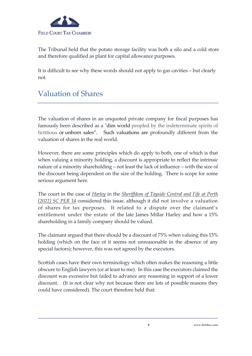

The Tribunal held that the potato storage facility was both a silo and a cold store and therefore qualified as plant for capital allowance purposes.

It is difficult to see why these words should not apply to gas cavities – but clearly not.

### Valuation of Shares

The valuation of shares in an unquoted private company for fiscal purposes has famously been described as a "dim world peopled by the indeterminate spirits of fictitious or unborn sales". Such valuations are profoundly different from the valuation of shares in the real world.

However, there are some principles which do apply to both, one of which is that when valuing a minority holding, a discount is appropriate to reflect the intrinsic nature of a minority shareholding – not least the lack of influence – with the size of the discount being dependent on the size of the holding. There is scope for some serious argument here.

The court in the case of *Harley* in the *Sheriffdom of Tayside Central and Fife at Perth [2022] SC PER 14* considered this issue, although it did not involve a valuation of shares for tax purposes. It related to a dispute over the claimant's entitlement under the estate of the late James Millar Harley and how a 15% shareholding in a family company should be valued.

The claimant argued that there should be a discount of 75% when valuing this 15% holding (which on the face of it seems not unreasonable in the absence of any special factors); however, this was not agreed by the executors.

Scottish cases have their own terminology which often makes the reasoning a little obscure to English lawyers (or at least to me). In this case the executors claimed the discount was excessive but failed to advance any reasoning in support of a lower discount. (It is not clear why not because there are lots of possible reasons they could have considered). The court therefore held that: